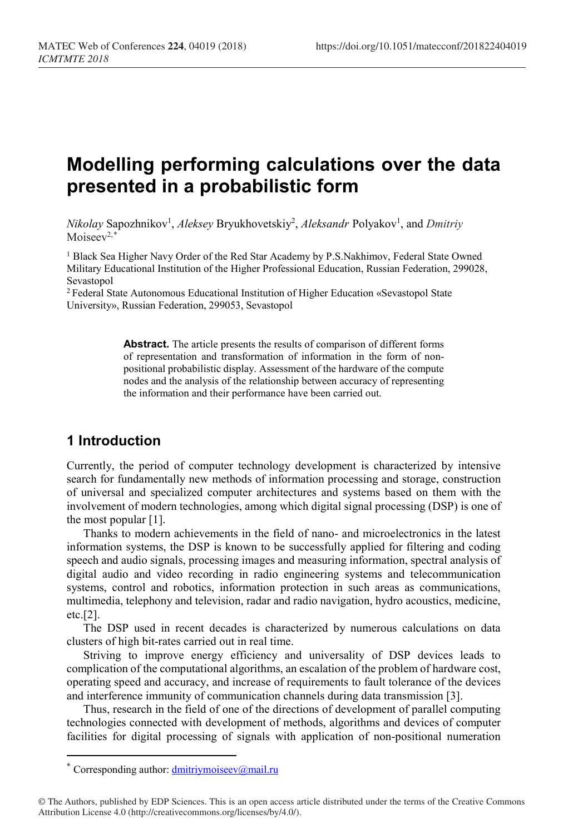## **Modelling performing calculations over the data presented in a probabilistic form**

 $N$ ikolay Sapozhnikov<sup>1</sup>, Aleksey Bryukhovetskiy<sup>2</sup>, Aleksandr Polyakov<sup>1</sup>, and Dmitriy Moiseev<sup>2,[\\*](#page-0-0)</sup>

<sup>1</sup> Black Sea Higher Navy Order of the Red Star Academy by P.S.Nakhimov, Federal State Owned Military Educational Institution of the Higher Professional Education, Russian Federation, 299028, Sevastopol

<sup>2</sup> Federal State Autonomous Educational Institution of Higher Education «Sevastopol State University», Russian Federation, 299053, Sevastopol

> **Abstract.** The article presents the results of comparison of different forms of representation and transformation of information in the form of nonpositional probabilistic display. Assessment of the hardware of the compute nodes and the analysis of the relationship between accuracy of representing the information and their performance have been carried out.

## **1 Introduction**

Currently, the period of computer technology development is characterized by intensive search for fundamentally new methods of information processing and storage, construction of universal and specialized computer architectures and systems based on them with the involvement of modern technologies, among which digital signal processing (DSP) is one of the most popular [1].

Thanks to modern achievements in the field of nano- and microelectronics in the latest information systems, the DSP is known to be successfully applied for filtering and coding speech and audio signals, processing images and measuring information, spectral analysis of digital audio and video recording in radio engineering systems and telecommunication systems, control and robotics, information protection in such areas as communications, multimedia, telephony and television, radar and radio navigation, hydro acoustics, medicine, etc.[2].

The DSP used in recent decades is characterized by numerous calculations on data clusters of high bit-rates carried out in real time.

Striving to improve energy efficiency and universality of DSP devices leads to complication of the computational algorithms, an escalation of the problem of hardware cost, operating speed and accuracy, and increase of requirements to fault tolerance of the devices and interference immunity of communication channels during data transmission [3].

Thus, research in the field of one of the directions of development of parallel computing technologies connected with development of methods, algorithms and devices of computer facilities for digital processing of signals with application of non-positional numeration

 $\overline{a}$ 

<sup>\*</sup> Corresponding author: dmitriymoiseev@mail.ru

<span id="page-0-0"></span><sup>©</sup> The Authors, published by EDP Sciences. This is an open access article distributed under the terms of the Creative Commons Attribution License 4.0 (http://creativecommons.org/licenses/by/4.0/).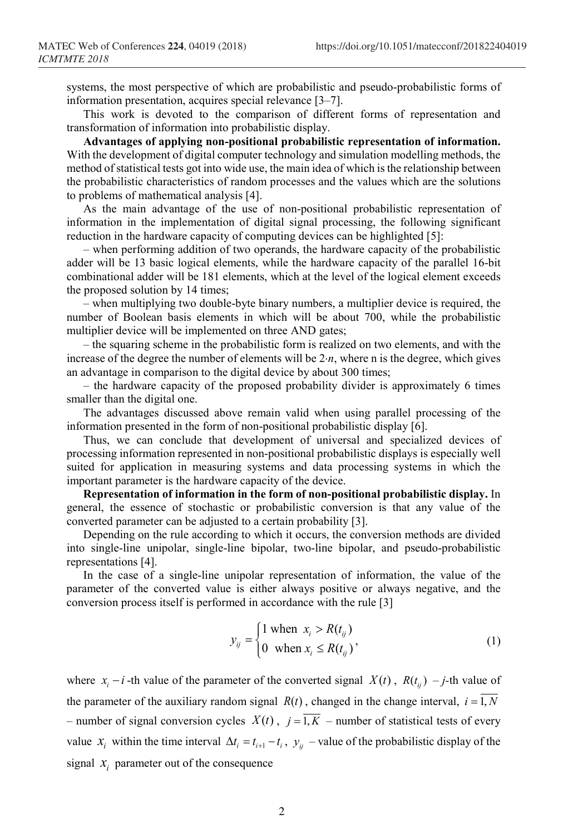systems, the most perspective of which are probabilistic and pseudo-probabilistic forms of information presentation, acquires special relevance [3–7].

This work is devoted to the comparison of different forms of representation and transformation of information into probabilistic display.

**Advantages of applying non-positional probabilistic representation of information.**  With the development of digital computer technology and simulation modelling methods, the method of statistical tests got into wide use, the main idea of which is the relationship between the probabilistic characteristics of random processes and the values which are the solutions to problems of mathematical analysis [4].

As the main advantage of the use of non-positional probabilistic representation of information in the implementation of digital signal processing, the following significant reduction in the hardware capacity of computing devices can be highlighted [5]:

– when performing addition of two operands, the hardware capacity of the probabilistic adder will be 13 basic logical elements, while the hardware capacity of the parallel 16-bit combinational adder will be 181 elements, which at the level of the logical element exceeds the proposed solution by 14 times;

– when multiplying two double-byte binary numbers, a multiplier device is required, the number of Boolean basis elements in which will be about 700, while the probabilistic multiplier device will be implemented on three AND gates;

– the squaring scheme in the probabilistic form is realized on two elements, and with the increase of the degree the number of elements will be 2⋅*n*, where n is the degree, which gives an advantage in comparison to the digital device by about 300 times;

– the hardware capacity of the proposed probability divider is approximately 6 times smaller than the digital one.

The advantages discussed above remain valid when using parallel processing of the information presented in the form of non-positional probabilistic display [6].

Thus, we can conclude that development of universal and specialized devices of processing information represented in non-positional probabilistic displays is especially well suited for application in measuring systems and data processing systems in which the important parameter is the hardware capacity of the device.

**Representation of information in the form of non-positional probabilistic display.** In general, the essence of stochastic or probabilistic conversion is that any value of the converted parameter can be adjusted to a certain probability [3].

Depending on the rule according to which it occurs, the conversion methods are divided into single-line unipolar, single-line bipolar, two-line bipolar, and pseudo-probabilistic representations [4].

In the case of a single-line unipolar representation of information, the value of the parameter of the converted value is either always positive or always negative, and the conversion process itself is performed in accordance with the rule [3]

$$
y_{ij} = \begin{cases} 1 \text{ when } x_i > R(t_{ij}) \\ 0 \text{ when } x_i \le R(t_{ij}) \end{cases}
$$
 (1)

where  $x_i - i$  -th value of the parameter of the converted signal  $X(t)$ ,  $R(t_{ii}) - j$ -th value of the parameter of the auxiliary random signal  $R(t)$ , changed in the change interval,  $i = \overline{1, N}$ – number of signal conversion cycles  $X(t)$ ,  $j = \overline{1, K}$  – number of statistical tests of every value  $x_i$  within the time interval  $\Delta t_i = t_{i+1} - t_i$ ,  $y_{ii}$  – value of the probabilistic display of the signal  $x_i$  parameter out of the consequence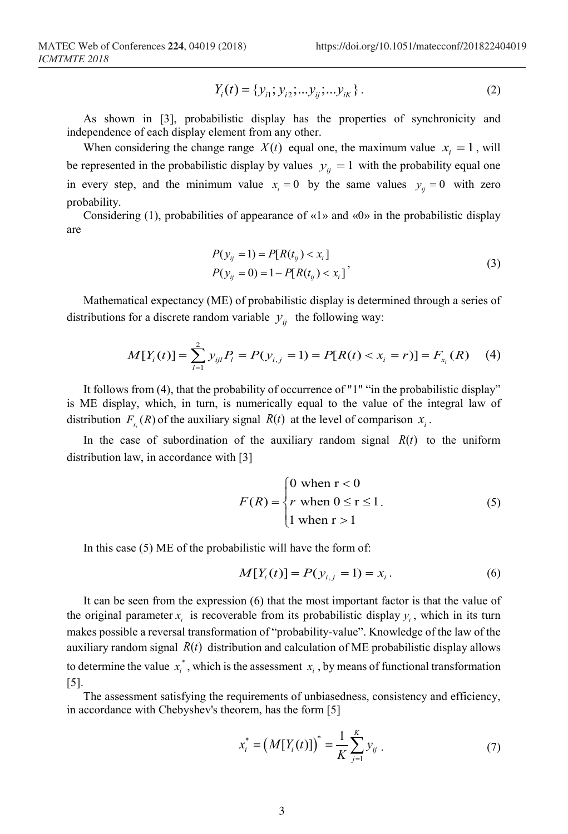$$
Y_i(t) = \{y_{i1}; y_{i2}; \dots y_{ij}; \dots y_{iK}\}.
$$
 (2)

As shown in [3], probabilistic display has the properties of synchronicity and independence of each display element from any other.

When considering the change range  $X(t)$  equal one, the maximum value  $x<sub>i</sub> = 1$ , will be represented in the probabilistic display by values  $y_{ij} = 1$  with the probability equal one in every step, and the minimum value  $x_i = 0$  by the same values  $y_{ii} = 0$  with zero probability.

Considering (1), probabilities of appearance of «1» and «0» in the probabilistic display are

$$
P(y_{ij} = 1) = P[R(t_{ij}) < x_i]
$$
  
\n
$$
P(y_{ij} = 0) = 1 - P[R(t_{ij}) < x_i]
$$
\n(3)

Mathematical expectancy (ME) of probabilistic display is determined through a series of distributions for a discrete random variable  $y_{ij}$  the following way:

$$
M[Y_i(t)] = \sum_{l=1}^{2} y_{ijl} P_l = P(y_{i,j} = 1) = P[R(t) < x_i = r)] = F_{x_i}(R) \tag{4}
$$

It follows from (4), that the probability of occurrence of "1" "in the probabilistic display" is ME display, which, in turn, is numerically equal to the value of the integral law of distribution  $F_{x_i}(R)$  of the auxiliary signal  $R(t)$  at the level of comparison  $x_i$ .

In the case of subordination of the auxiliary random signal  $R(t)$  to the uniform distribution law, in accordance with [3]

$$
F(R) = \begin{cases} 0 & \text{when } r < 0 \\ r & \text{when } 0 \le r \le 1. \\ 1 & \text{when } r > 1 \end{cases}
$$
 (5)

In this case (5) ME of the probabilistic will have the form of:

$$
M[Y_i(t)] = P(y_{i,j} = 1) = x_i.
$$
 (6)

It can be seen from the expression (6) that the most important factor is that the value of the original parameter  $x_i$  is recoverable from its probabilistic display  $y_i$ , which in its turn makes possible a reversal transformation of "probability-value". Knowledge of the law of the auxiliary random signal *R*(*t*) distribution and calculation of ME probabilistic display allows to determine the value  $x_i^*$ , which is the assessment  $x_i$ , by means of functional transformation [5].

The assessment satisfying the requirements of unbiasedness, consistency and efficiency, in accordance with Chebyshev's theorem, has the form [5]

$$
x_i^* = (M[Y_i(t)])^* = \frac{1}{K} \sum_{j=1}^K y_{ij} .
$$
 (7)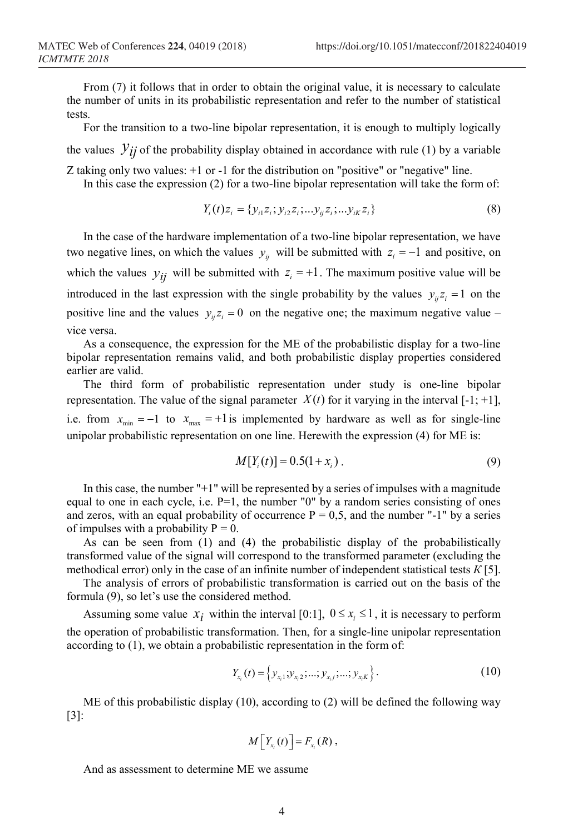From (7) it follows that in order to obtain the original value, it is necessary to calculate the number of units in its probabilistic representation and refer to the number of statistical tests.

For the transition to a two-line bipolar representation, it is enough to multiply logically the values  $\dot{y}_{ij}$  of the probability display obtained in accordance with rule (1) by a variable Z taking only two values: +1 or -1 for the distribution on "positive" or "negative" line.

In this case the expression (2) for a two-line bipolar representation will take the form of:

$$
Y_i(t)z_i = \{y_{i1}z_i; y_{i2}z_i; \dots y_{ij}z_i; \dots y_{iK}z_i\}
$$
\n(8)

In the case of the hardware implementation of a two-line bipolar representation, we have two negative lines, on which the values  $y_{ij}$  will be submitted with  $z_i = -1$  and positive, on which the values  $y_{ij}$  will be submitted with  $z_i = +1$ . The maximum positive value will be introduced in the last expression with the single probability by the values  $y_{ii}z_i = 1$  on the positive line and the values  $y_{ij}z_i = 0$  on the negative one; the maximum negative value – vice versa.

As a consequence, the expression for the ME of the probabilistic display for a two-line bipolar representation remains valid, and both probabilistic display properties considered earlier are valid.

The third form of probabilistic representation under study is one-line bipolar representation. The value of the signal parameter  $X(t)$  for it varying in the interval  $[-1; +1]$ , i.e. from  $x_{min} = -1$  to  $x_{max} = +1$  is implemented by hardware as well as for single-line unipolar probabilistic representation on one line. Herewith the expression (4) for ME is:

$$
M[Y_i(t)] = 0.5(1 + x_i).
$$
 (9)

In this case, the number "+1" will be represented by a series of impulses with a magnitude equal to one in each cycle, i.e.  $P=1$ , the number "0" by a random series consisting of ones and zeros, with an equal probability of occurrence  $P = 0.5$ , and the number "-1" by a series of impulses with a probability  $P = 0$ .

As can be seen from (1) and (4) the probabilistic display of the probabilistically transformed value of the signal will correspond to the transformed parameter (excluding the methodical error) only in the case of an infinite number of independent statistical tests *К* [5].

The analysis of errors of probabilistic transformation is carried out on the basis of the formula (9), so let's use the considered method.

Assuming some value  $x_i$  within the interval [0:1],  $0 \le x_i \le 1$ , it is necessary to perform the operation of probabilistic transformation. Then, for a single-line unipolar representation according to (1), we obtain a probabilistic representation in the form of:

$$
Y_{x_i}(t) = \left\{ y_{x_i 1}; y_{x_i 2}; \dots; y_{x_i j}; \dots; y_{x_i K} \right\}.
$$
 (10)

МE of this probabilistic display (10), according to (2) will be defined the following way [3]:

$$
M\bigl[\,Y_{x_i}(t)\,\bigr]=F_{x_i}(R)\,,
$$

And as assessment to determine ME we assume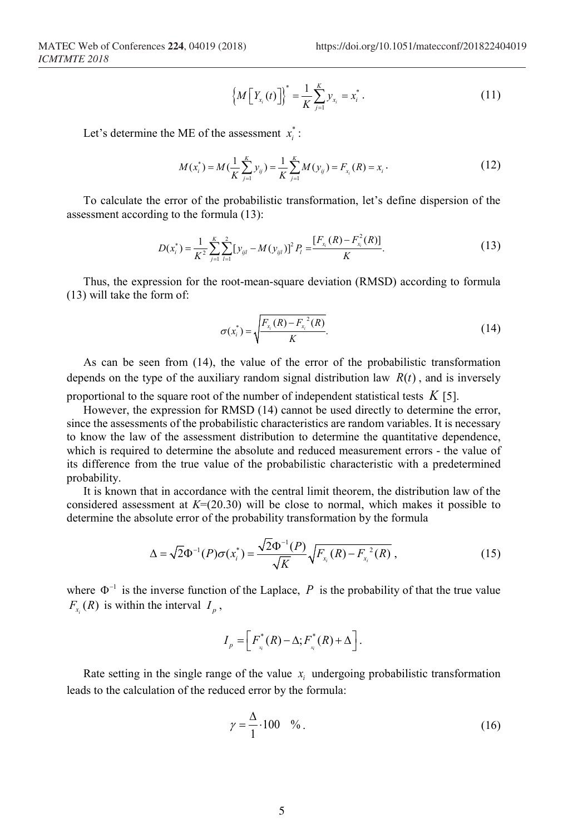$$
\left\{ M\left[Y_{x_i}(t)\right]\right\}^* = \frac{1}{K}\sum_{j=1}^K y_{x_i} = x_i^* \,. \tag{11}
$$

Let's determine the ME of the assessment  $x_i^*$ :

$$
M(x_i^*) = M(\frac{1}{K}\sum_{j=1}^K y_{ij}) = \frac{1}{K}\sum_{j=1}^K M(y_{ij}) = F_{x_i}(R) = x_i.
$$
 (12)

To calculate the error of the probabilistic transformation, let's define dispersion of the assessment according to the formula (13):

$$
D(x_i^*) = \frac{1}{K^2} \sum_{j=1}^K \sum_{l=1}^2 [y_{ijl} - M(y_{ijl})]^2 P_l = \frac{[F_{x_i}(R) - F_{x_i}^2(R)]}{K}.
$$
 (13)

Thus, the expression for the root-mean-square deviation (RMSD) according to formula (13) will take the form of:

$$
\sigma(x_i^*) = \sqrt{\frac{F_{x_i}(R) - F_{x_i}^2(R)}{K}}.
$$
\n(14)

As can be seen from (14), the value of the error of the probabilistic transformation depends on the type of the auxiliary random signal distribution law  $R(t)$ , and is inversely proportional to the square root of the number of independent statistical tests *K* [5].

However, the expression for RMSD (14) cannot be used directly to determine the error, since the assessments of the probabilistic characteristics are random variables. It is necessary to know the law of the assessment distribution to determine the quantitative dependence, which is required to determine the absolute and reduced measurement errors - the value of its difference from the true value of the probabilistic characteristic with a predetermined probability.

It is known that in accordance with the central limit theorem, the distribution law of the considered assessment at  $K=(20.30)$  will be close to normal, which makes it possible to determine the absolute error of the probability transformation by the formula

$$
\Delta = \sqrt{2}\Phi^{-1}(P)\sigma(x_i^*) = \frac{\sqrt{2}\Phi^{-1}(P)}{\sqrt{K}}\sqrt{F_{x_i}(R) - F_{x_i}^2(R)},
$$
\n(15)

where  $\Phi^{-1}$  is the inverse function of the Laplace, *P* is the probability of that the true value  $F_{x_i}(R)$  is within the interval  $I_p$ ,

$$
I_p = \left[ F_{\scriptscriptstyle x_i}^*(R) - \Delta; F_{\scriptscriptstyle x_i}^*(R) + \Delta \right].
$$

Rate setting in the single range of the value  $x_i$  undergoing probabilistic transformation leads to the calculation of the reduced error by the formula:

$$
\gamma = \frac{\Delta}{1} \cdot 100 \quad \%
$$
 (16)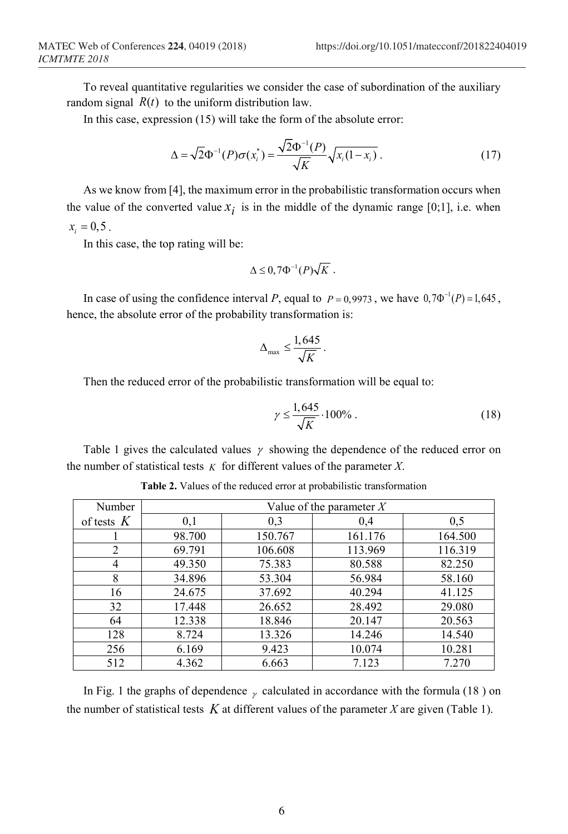To reveal quantitative regularities we consider the case of subordination of the auxiliary random signal  $R(t)$  to the uniform distribution law.

In this case, expression (15) will take the form of the absolute error:

$$
\Delta = \sqrt{2}\Phi^{-1}(P)\sigma(x_i^*) = \frac{\sqrt{2}\Phi^{-1}(P)}{\sqrt{K}}\sqrt{x_i(1-x_i)}.
$$
 (17)

As we know from [4], the maximum error in the probabilistic transformation occurs when the value of the converted value  $x_i$  is in the middle of the dynamic range [0;1], i.e. when  $x_i = 0, 5$ .

In this case, the top rating will be:

$$
\Delta \leq 0,7\Phi^{-1}(P)\sqrt{K}.
$$

In case of using the confidence interval *P*, equal to  $P = 0.9973$ , we have  $0.7\Phi^{-1}(P) = 1.645$ , hence, the absolute error of the probability transformation is:

$$
\Delta_{\max} \leq \frac{1,645}{\sqrt{K}}.
$$

Then the reduced error of the probabilistic transformation will be equal to:

$$
\gamma \le \frac{1,645}{\sqrt{K}} \cdot 100\% \,. \tag{18}
$$

Table 1 gives the calculated values  $\gamma$  showing the dependence of the reduced error on the number of statistical tests  $K$  for different values of the parameter  $X$ .

| Number       | Value of the parameter $X$ |         |         |         |
|--------------|----------------------------|---------|---------|---------|
| of tests $K$ | 0,1                        | 0.3     | 0,4     | 0.5     |
|              | 98.700                     | 150.767 | 161.176 | 164.500 |
| 2            | 69.791                     | 106.608 | 113.969 | 116.319 |
| 4            | 49.350                     | 75.383  | 80.588  | 82.250  |
| 8            | 34.896                     | 53.304  | 56.984  | 58.160  |
| 16           | 24.675                     | 37.692  | 40.294  | 41.125  |
| 32           | 17.448                     | 26.652  | 28.492  | 29.080  |
| 64           | 12.338                     | 18.846  | 20.147  | 20.563  |
| 128          | 8.724                      | 13.326  | 14.246  | 14.540  |
| 256          | 6.169                      | 9.423   | 10.074  | 10.281  |
| 512          | 4.362                      | 6.663   | 7.123   | 7.270   |

**Table 2.** Values of the reduced error at probabilistic transformation

In Fig. 1 the graphs of dependence  $\gamma$  calculated in accordance with the formula (18) on the number of statistical tests  $K$  at different values of the parameter  $X$  are given (Table 1).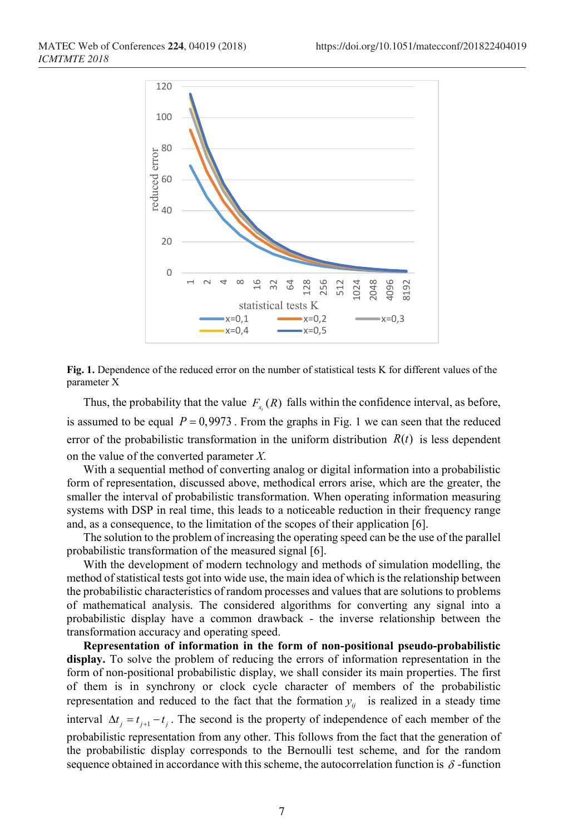

**Fig. 1.** Dependence of the reduced error on the number of statistical tests K for different values of the parameter X

Thus, the probability that the value  $F_{x_i}(R)$  falls within the confidence interval, as before, is assumed to be equal  $P = 0.9973$ . From the graphs in Fig. 1 we can seen that the reduced error of the probabilistic transformation in the uniform distribution  $R(t)$  is less dependent on the value of the converted parameter *X.*

With a sequential method of converting analog or digital information into a probabilistic form of representation, discussed above, methodical errors arise, which are the greater, the smaller the interval of probabilistic transformation. When operating information measuring systems with DSP in real time, this leads to a noticeable reduction in their frequency range and, as a consequence, to the limitation of the scopes of their application [6].

The solution to the problem of increasing the operating speed can be the use of the parallel probabilistic transformation of the measured signal [6].

With the development of modern technology and methods of simulation modelling, the method of statistical tests got into wide use, the main idea of which is the relationship between the probabilistic characteristics of random processes and values that are solutions to problems of mathematical analysis. The considered algorithms for converting any signal into a probabilistic display have a common drawback - the inverse relationship between the transformation accuracy and operating speed.

**Representation of information in the form of non-positional pseudo-probabilistic display.** To solve the problem of reducing the errors of information representation in the form of non-positional probabilistic display, we shall consider its main properties. The first of them is in synchrony or clock cycle character of members of the probabilistic representation and reduced to the fact that the formation  $y_{ij}$  is realized in a steady time interval  $\Delta t_i = t_{i+1} - t_i$ . The second is the property of independence of each member of the probabilistic representation from any other. This follows from the fact that the generation of the probabilistic display corresponds to the Bernoulli test scheme, and for the random sequence obtained in accordance with this scheme, the autocorrelation function is  $\delta$ -function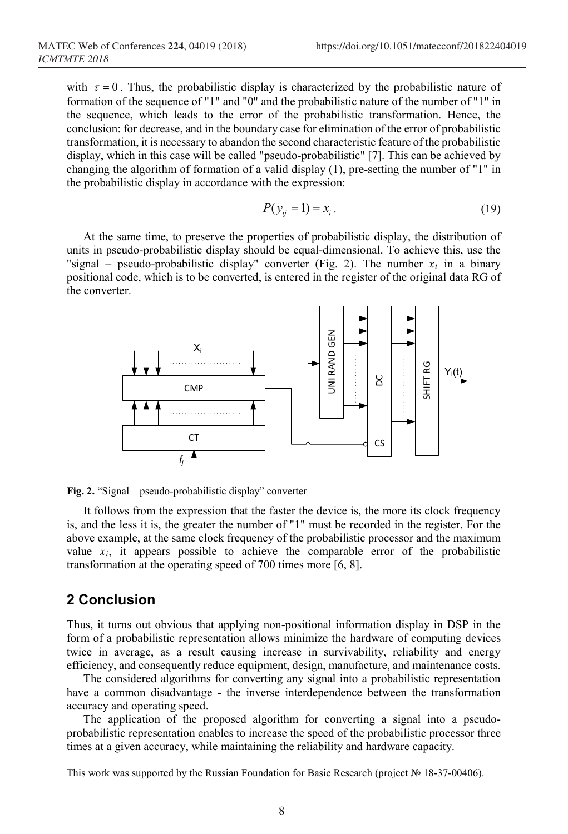with  $\tau = 0$ . Thus, the probabilistic display is characterized by the probabilistic nature of formation of the sequence of "1" and "0" and the probabilistic nature of the number of "1" in the sequence, which leads to the error of the probabilistic transformation. Hence, the conclusion: for decrease, and in the boundary case for elimination of the error of probabilistic transformation, it is necessary to abandon the second characteristic feature of the probabilistic display, which in this case will be called "pseudo-probabilistic" [7]. This can be achieved by changing the algorithm of formation of a valid display (1), pre-setting the number of "1" in the probabilistic display in accordance with the expression:

$$
P(y_{ij} = 1) = x_i. \tag{19}
$$

At the same time, to preserve the properties of probabilistic display, the distribution of units in pseudo-probabilistic display should be equal-dimensional. To achieve this, use the "signal – pseudo-probabilistic display" converter (Fig. 2). The number  $x_i$  in a binary positional code, which is to be converted, is entered in the register of the original data RG of the converter.





It follows from the expression that the faster the device is, the more its clock frequency is, and the less it is, the greater the number of "1" must be recorded in the register. For the above example, at the same clock frequency of the probabilistic processor and the maximum value  $x_i$ , it appears possible to achieve the comparable error of the probabilistic transformation at the operating speed of 700 times more [6, 8].

## **2 Conclusion**

Thus, it turns out obvious that applying non-positional information display in DSP in the form of a probabilistic representation allows minimize the hardware of computing devices twice in average, as a result causing increase in survivability, reliability and energy efficiency, and consequently reduce equipment, design, manufacture, and maintenance costs.

The considered algorithms for converting any signal into a probabilistic representation have a common disadvantage - the inverse interdependence between the transformation accuracy and operating speed.

The application of the proposed algorithm for converting a signal into a pseudoprobabilistic representation enables to increase the speed of the probabilistic processor three times at a given accuracy, while maintaining the reliability and hardware capacity.

This work was supported by the Russian Foundation for Basic Research (project № 18-37-00406).